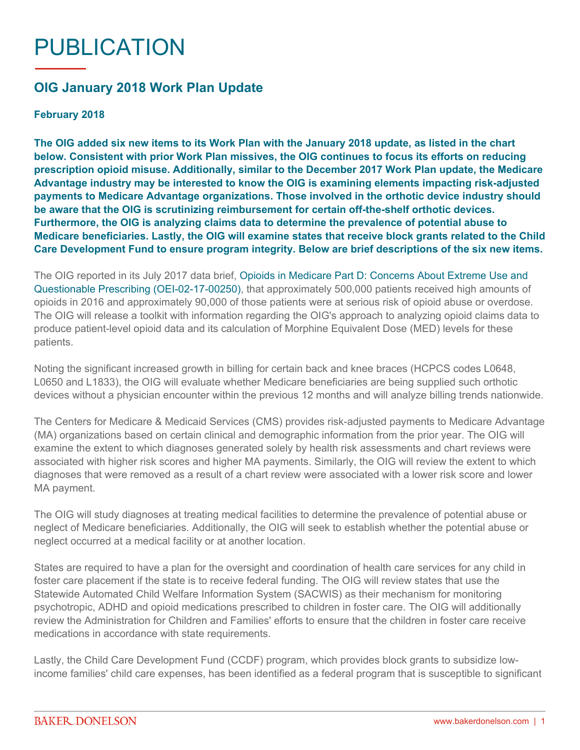## PUBLICATION

## **OIG January 2018 Work Plan Update**

## **February 2018**

**The OIG added six new items to its Work Plan with the January 2018 update, as listed in the chart below. Consistent with prior Work Plan missives, the OIG continues to focus its efforts on reducing prescription opioid misuse. Additionally, similar to the December 2017 Work Plan update, the Medicare Advantage industry may be interested to know the OIG is examining elements impacting risk-adjusted payments to Medicare Advantage organizations. Those involved in the orthotic device industry should be aware that the OIG is scrutinizing reimbursement for certain off-the-shelf orthotic devices. Furthermore, the OIG is analyzing claims data to determine the prevalence of potential abuse to Medicare beneficiaries. Lastly, the OIG will examine states that receive block grants related to the Child Care Development Fund to ensure program integrity. Below are brief descriptions of the six new items.**

The OIG reported in its July 2017 data brief, [Opioids in Medicare Part D: Concerns About Extreme Use and](https://oig.hhs.gov/oei/reports/oei-02-17-00250.pdf)  [Questionable Prescribing \(OEI-02-17-00250\)](https://oig.hhs.gov/oei/reports/oei-02-17-00250.pdf), that approximately 500,000 patients received high amounts of opioids in 2016 and approximately 90,000 of those patients were at serious risk of opioid abuse or overdose. The OIG will release a toolkit with information regarding the OIG's approach to analyzing opioid claims data to produce patient-level opioid data and its calculation of Morphine Equivalent Dose (MED) levels for these patients.

Noting the significant increased growth in billing for certain back and knee braces (HCPCS codes L0648, L0650 and L1833), the OIG will evaluate whether Medicare beneficiaries are being supplied such orthotic devices without a physician encounter within the previous 12 months and will analyze billing trends nationwide.

The Centers for Medicare & Medicaid Services (CMS) provides risk-adjusted payments to Medicare Advantage (MA) organizations based on certain clinical and demographic information from the prior year. The OIG will examine the extent to which diagnoses generated solely by health risk assessments and chart reviews were associated with higher risk scores and higher MA payments. Similarly, the OIG will review the extent to which diagnoses that were removed as a result of a chart review were associated with a lower risk score and lower MA payment.

The OIG will study diagnoses at treating medical facilities to determine the prevalence of potential abuse or neglect of Medicare beneficiaries. Additionally, the OIG will seek to establish whether the potential abuse or neglect occurred at a medical facility or at another location.

States are required to have a plan for the oversight and coordination of health care services for any child in foster care placement if the state is to receive federal funding. The OIG will review states that use the Statewide Automated Child Welfare Information System (SACWIS) as their mechanism for monitoring psychotropic, ADHD and opioid medications prescribed to children in foster care. The OIG will additionally review the Administration for Children and Families' efforts to ensure that the children in foster care receive medications in accordance with state requirements.

Lastly, the Child Care Development Fund (CCDF) program, which provides block grants to subsidize lowincome families' child care expenses, has been identified as a federal program that is susceptible to significant